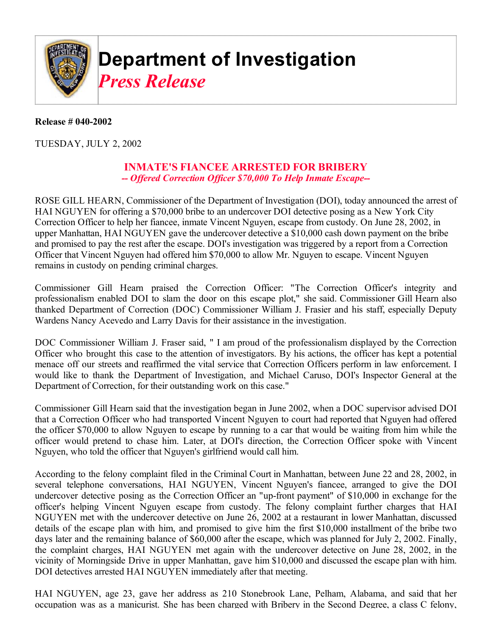

## **Department of Investigation** *Press Release*

## **Release # 040-2002**

TUESDAY, JULY 2, 2002

## **INMATE'S FIANCEE ARRESTED FOR BRIBERY**  *-- Offered Correction Officer \$70,000 To Help Inmate Escape--*

ROSE GILL HEARN, Commissioner of the Department of Investigation (DOI), today announced the arrest of HAI NGUYEN for offering a \$70,000 bribe to an undercover DOI detective posing as a New York City Correction Officer to help her fiancee, inmate Vincent Nguyen, escape from custody. On June 28, 2002, in upper Manhattan, HAI NGUYEN gave the undercover detective a \$10,000 cash down payment on the bribe and promised to pay the rest after the escape. DOI's investigation was triggered by a report from a Correction Officer that Vincent Nguyen had offered him \$70,000 to allow Mr. Nguyen to escape. Vincent Nguyen remains in custody on pending criminal charges.

Commissioner Gill Hearn praised the Correction Officer: "The Correction Officer's integrity and professionalism enabled DOI to slam the door on this escape plot," she said. Commissioner Gill Hearn also thanked Department of Correction (DOC) Commissioner William J. Frasier and his staff, especially Deputy Wardens Nancy Acevedo and Larry Davis for their assistance in the investigation.

DOC Commissioner William J. Fraser said, " I am proud of the professionalism displayed by the Correction Officer who brought this case to the attention of investigators. By his actions, the officer has kept a potential menace off our streets and reaffirmed the vital service that Correction Officers perform in law enforcement. I would like to thank the Department of Investigation, and Michael Caruso, DOI's Inspector General at the Department of Correction, for their outstanding work on this case."

Commissioner Gill Hearn said that the investigation began in June 2002, when a DOC supervisor advised DOI that a Correction Officer who had transported Vincent Nguyen to court had reported that Nguyen had offered the officer \$70,000 to allow Nguyen to escape by running to a car that would be waiting from him while the officer would pretend to chase him. Later, at DOI's direction, the Correction Officer spoke with Vincent Nguyen, who told the officer that Nguyen's girlfriend would call him.

According to the felony complaint filed in the Criminal Court in Manhattan, between June 22 and 28, 2002, in several telephone conversations, HAI NGUYEN, Vincent Nguyen's fiancee, arranged to give the DOI undercover detective posing as the Correction Officer an "up-front payment" of \$10,000 in exchange for the officer's helping Vincent Nguyen escape from custody. The felony complaint further charges that HAI NGUYEN met with the undercover detective on June 26, 2002 at a restaurant in lower Manhattan, discussed details of the escape plan with him, and promised to give him the first \$10,000 installment of the bribe two days later and the remaining balance of \$60,000 after the escape, which was planned for July 2, 2002. Finally, the complaint charges, HAI NGUYEN met again with the undercover detective on June 28, 2002, in the vicinity of Morningside Drive in upper Manhattan, gave him \$10,000 and discussed the escape plan with him. DOI detectives arrested HAI NGUYEN immediately after that meeting.

HAI NGUYEN, age 23, gave her address as 210 Stonebrook Lane, Pelham, Alabama, and said that her occupation was as a manicurist. She has been charged with Bribery in the Second Degree, a class C felony,